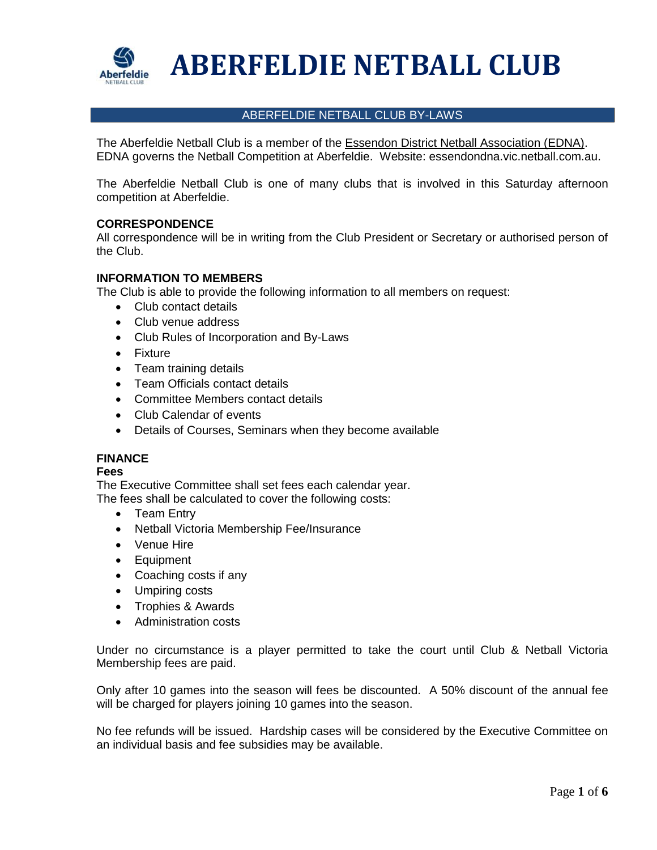

# **ABERFELDIE NETBALL CLUB**

# ABERFELDIE NETBALL CLUB BY-LAWS

The Aberfeldie Netball Club is a member of the Essendon District Netball Association (EDNA). EDNA governs the Netball Competition at Aberfeldie. Website: essendondna.vic.netball.com.au.

The Aberfeldie Netball Club is one of many clubs that is involved in this Saturday afternoon competition at Aberfeldie.

# **CORRESPONDENCE**

All correspondence will be in writing from the Club President or Secretary or authorised person of the Club.

# **INFORMATION TO MEMBERS**

The Club is able to provide the following information to all members on request:

- Club contact details
- Club venue address
- Club Rules of Incorporation and By-Laws
- Fixture
- Team training details
- Team Officials contact details
- Committee Members contact details
- Club Calendar of events
- Details of Courses, Seminars when they become available

# **FINANCE**

#### **Fees**

The Executive Committee shall set fees each calendar year.

The fees shall be calculated to cover the following costs:

- Team Entry
- Netball Victoria Membership Fee/Insurance
- Venue Hire
- Equipment
- Coaching costs if any
- Umpiring costs
- Trophies & Awards
- Administration costs

Under no circumstance is a player permitted to take the court until Club & Netball Victoria Membership fees are paid.

Only after 10 games into the season will fees be discounted. A 50% discount of the annual fee will be charged for players joining 10 games into the season.

No fee refunds will be issued. Hardship cases will be considered by the Executive Committee on an individual basis and fee subsidies may be available.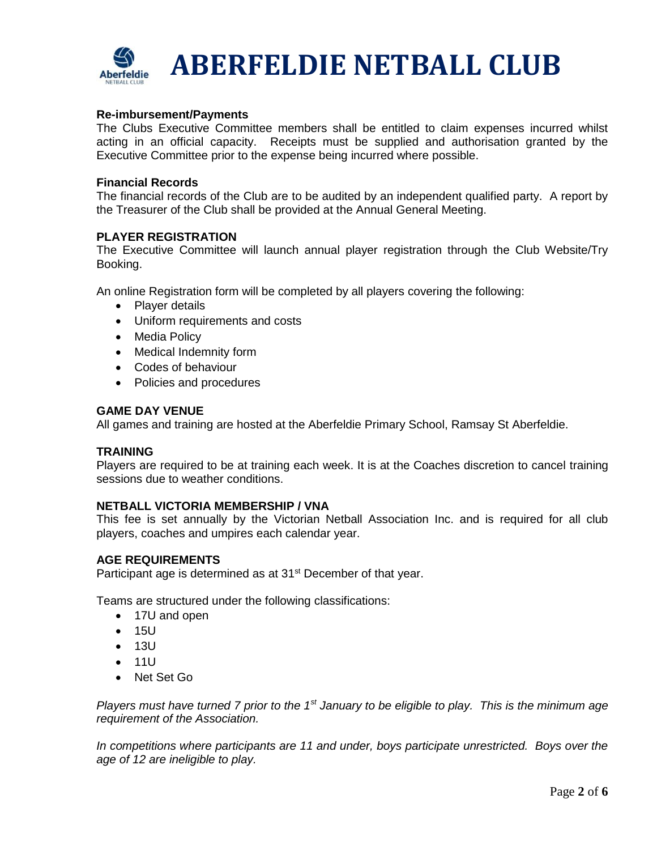

# **Re-imbursement/Payments**

The Clubs Executive Committee members shall be entitled to claim expenses incurred whilst acting in an official capacity. Receipts must be supplied and authorisation granted by the Executive Committee prior to the expense being incurred where possible.

#### **Financial Records**

The financial records of the Club are to be audited by an independent qualified party. A report by the Treasurer of the Club shall be provided at the Annual General Meeting.

# **PLAYER REGISTRATION**

The Executive Committee will launch annual player registration through the Club Website/Try Booking.

An online Registration form will be completed by all players covering the following:

- Player details
- Uniform requirements and costs
- Media Policy
- Medical Indemnity form
- Codes of behaviour
- Policies and procedures

## **GAME DAY VENUE**

All games and training are hosted at the Aberfeldie Primary School, Ramsay St Aberfeldie.

#### **TRAINING**

Players are required to be at training each week. It is at the Coaches discretion to cancel training sessions due to weather conditions.

#### **NETBALL VICTORIA MEMBERSHIP / VNA**

This fee is set annually by the Victorian Netball Association Inc. and is required for all club players, coaches and umpires each calendar year.

## **AGE REQUIREMENTS**

Participant age is determined as at 31<sup>st</sup> December of that year.

Teams are structured under the following classifications:

- 17U and open
- 15U
- 13U
- 11U
- Net Set Go

*Players must have turned 7 prior to the 1st January to be eligible to play. This is the minimum age requirement of the Association.*

*In competitions where participants are 11 and under, boys participate unrestricted. Boys over the age of 12 are ineligible to play.*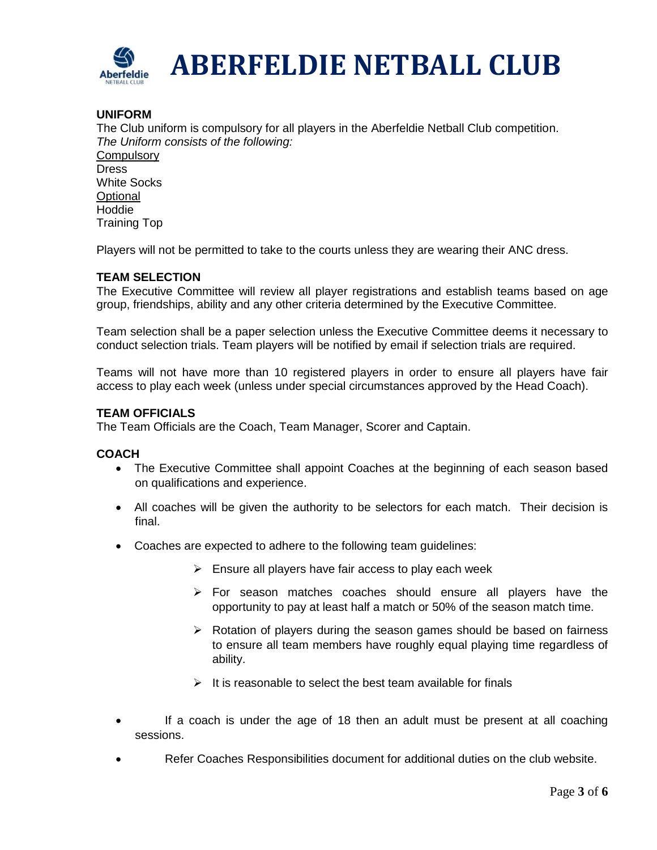

# **UNIFORM**

The Club uniform is compulsory for all players in the Aberfeldie Netball Club competition. *The Uniform consists of the following:*

**Compulsory Dress** White Socks **Optional Hoddie** Training Top

Players will not be permitted to take to the courts unless they are wearing their ANC dress.

# **TEAM SELECTION**

The Executive Committee will review all player registrations and establish teams based on age group, friendships, ability and any other criteria determined by the Executive Committee.

Team selection shall be a paper selection unless the Executive Committee deems it necessary to conduct selection trials. Team players will be notified by email if selection trials are required.

Teams will not have more than 10 registered players in order to ensure all players have fair access to play each week (unless under special circumstances approved by the Head Coach).

# **TEAM OFFICIALS**

The Team Officials are the Coach, Team Manager, Scorer and Captain.

# **COACH**

- The Executive Committee shall appoint Coaches at the beginning of each season based on qualifications and experience.
- All coaches will be given the authority to be selectors for each match. Their decision is final.
- Coaches are expected to adhere to the following team guidelines:
	- $\triangleright$  Ensure all players have fair access to play each week
	- ➢ For season matches coaches should ensure all players have the opportunity to pay at least half a match or 50% of the season match time.
	- ➢ Rotation of players during the season games should be based on fairness to ensure all team members have roughly equal playing time regardless of ability.
	- $\triangleright$  It is reasonable to select the best team available for finals
- If a coach is under the age of 18 then an adult must be present at all coaching sessions.
- Refer Coaches Responsibilities document for additional duties on the club website.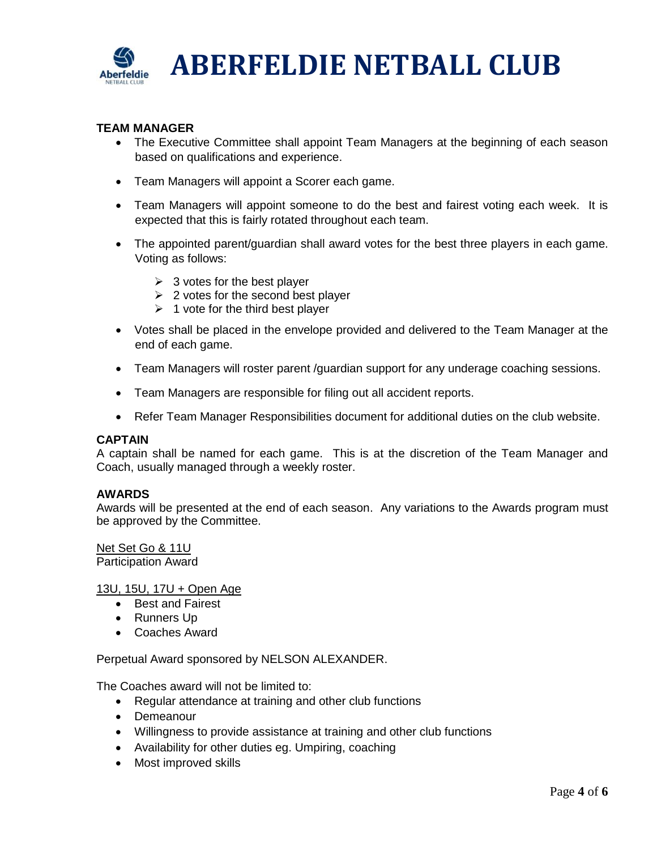

# **TEAM MANAGER**

- The Executive Committee shall appoint Team Managers at the beginning of each season based on qualifications and experience.
- Team Managers will appoint a Scorer each game.
- Team Managers will appoint someone to do the best and fairest voting each week. It is expected that this is fairly rotated throughout each team.
- The appointed parent/guardian shall award votes for the best three players in each game. Voting as follows:
	- $\geq$  3 votes for the best player
	- $\geq 2$  votes for the second best player
	- $\geq 1$  vote for the third best player
- Votes shall be placed in the envelope provided and delivered to the Team Manager at the end of each game.
- Team Managers will roster parent /guardian support for any underage coaching sessions.
- Team Managers are responsible for filing out all accident reports.
- Refer Team Manager Responsibilities document for additional duties on the club website.

# **CAPTAIN**

A captain shall be named for each game. This is at the discretion of the Team Manager and Coach, usually managed through a weekly roster.

# **AWARDS**

Awards will be presented at the end of each season. Any variations to the Awards program must be approved by the Committee.

Net Set Go & 11U Participation Award

# 13U, 15U, 17U + Open Age

- Best and Fairest
- Runners Up
- Coaches Award

Perpetual Award sponsored by NELSON ALEXANDER.

The Coaches award will not be limited to:

- Regular attendance at training and other club functions
- Demeanour
- Willingness to provide assistance at training and other club functions
- Availability for other duties eg. Umpiring, coaching
- Most improved skills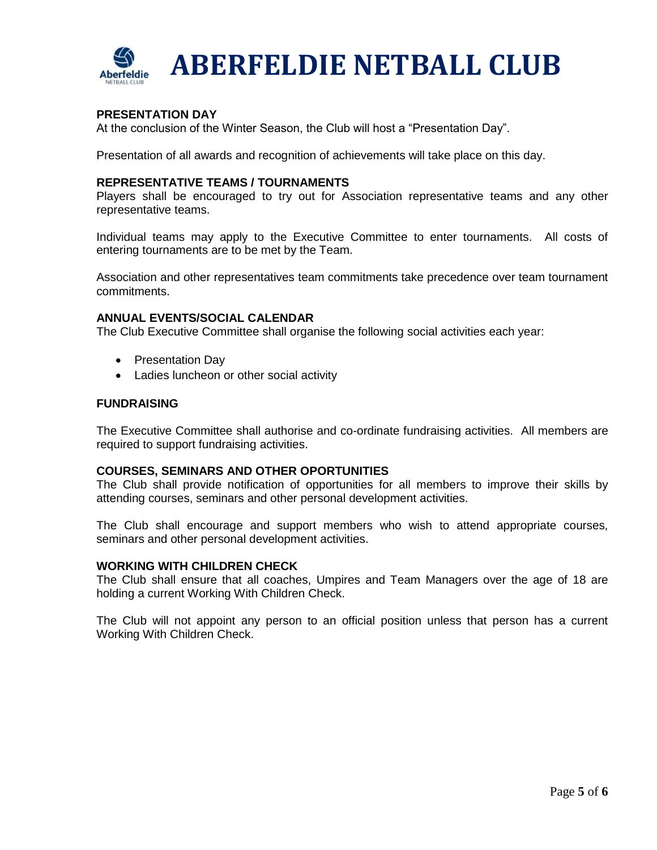

# **PRESENTATION DAY**

At the conclusion of the Winter Season, the Club will host a "Presentation Day".

Presentation of all awards and recognition of achievements will take place on this day.

## **REPRESENTATIVE TEAMS / TOURNAMENTS**

Players shall be encouraged to try out for Association representative teams and any other representative teams.

Individual teams may apply to the Executive Committee to enter tournaments. All costs of entering tournaments are to be met by the Team.

Association and other representatives team commitments take precedence over team tournament commitments.

## **ANNUAL EVENTS/SOCIAL CALENDAR**

The Club Executive Committee shall organise the following social activities each year:

- Presentation Day
- Ladies luncheon or other social activity

## **FUNDRAISING**

The Executive Committee shall authorise and co-ordinate fundraising activities. All members are required to support fundraising activities.

#### **COURSES, SEMINARS AND OTHER OPORTUNITIES**

The Club shall provide notification of opportunities for all members to improve their skills by attending courses, seminars and other personal development activities.

The Club shall encourage and support members who wish to attend appropriate courses, seminars and other personal development activities.

# **WORKING WITH CHILDREN CHECK**

The Club shall ensure that all coaches, Umpires and Team Managers over the age of 18 are holding a current Working With Children Check.

The Club will not appoint any person to an official position unless that person has a current Working With Children Check.